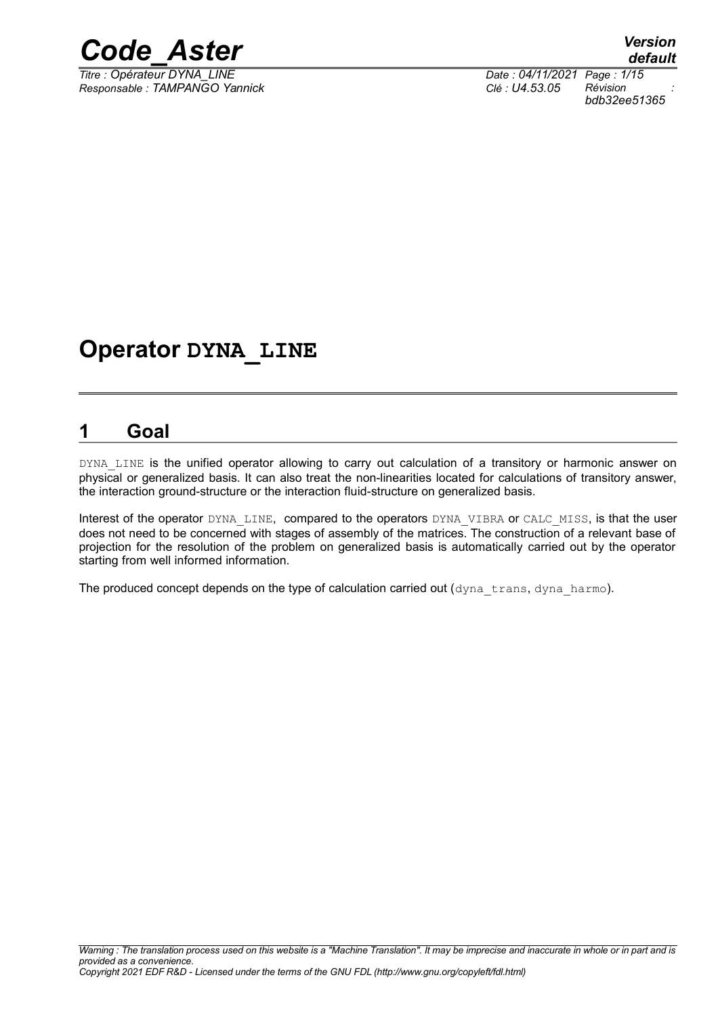

*Titre : Opérateur DYNA\_LINE Date : 04/11/2021 Page : 1/15 Responsable : TAMPANGO Yannick Clé : U4.53.05 Révision :*

*bdb32ee51365*

## **Operator DYNA\_LINE**

## <span id="page-0-0"></span>**1 Goal**

DYNA LINE is the unified operator allowing to carry out calculation of a transitory or harmonic answer on physical or generalized basis. It can also treat the non-linearities located for calculations of transitory answer, the interaction ground-structure or the interaction fluid-structure on generalized basis.

Interest of the operator DYNA LINE, compared to the operators DYNA VIBRA or CALC MISS, is that the user does not need to be concerned with stages of assembly of the matrices. The construction of a relevant base of projection for the resolution of the problem on generalized basis is automatically carried out by the operator starting from well informed information.

The produced concept depends on the type of calculation carried out  $(\text{dyn}a\text{ trans}, \text{dyn}a\text{ hamo}).$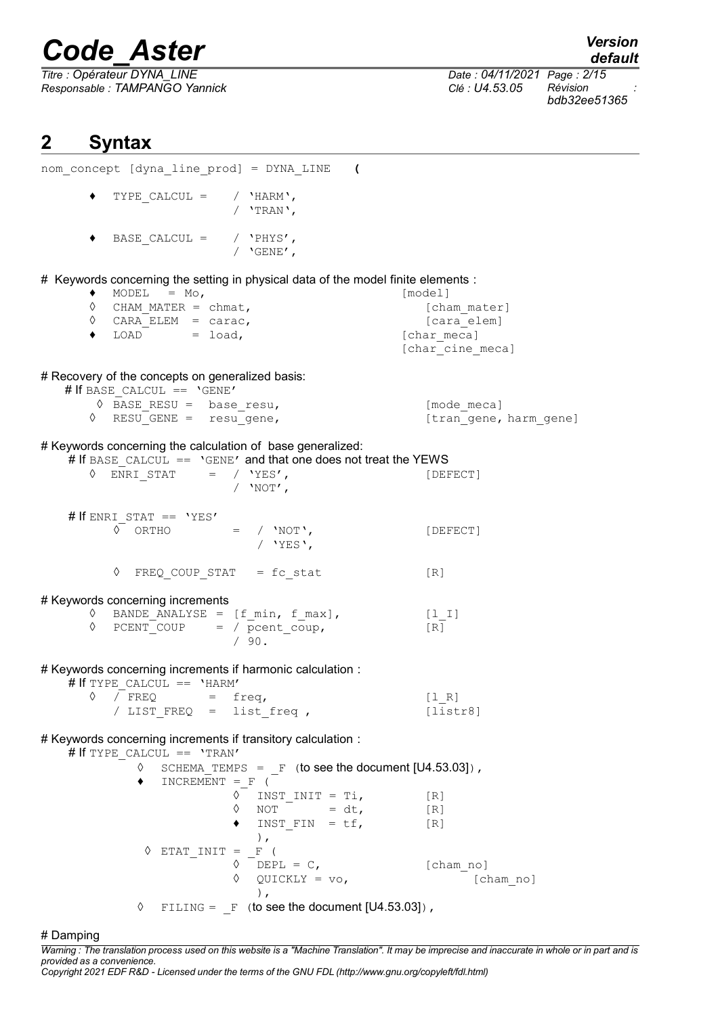*Titre : Opérateur DYNA\_LINE Date : 04/11/2021 Page : 2/15 Responsable : TAMPANGO Yannick Clé : U4.53.05 Révision :*

*default*

*bdb32ee51365*

## <span id="page-1-0"></span>**2 Syntax**

| nom concept [dyna line prod] = DYNA LINE (                                                                                           |                         |
|--------------------------------------------------------------------------------------------------------------------------------------|-------------------------|
| TYPE CALCUL = $/$ 'HARM',<br>٠<br>/ $'$ TRAN',                                                                                       |                         |
| $\texttt{BASE\_CALCUL} = \texttt{\texttt{^\prime} \cdot \texttt{PHYS} \cdot \texttt{\texttt{^\prime}}$<br>/ $\sqrt{GENE^{\prime}}$ , |                         |
| # Keywords concerning the setting in physical data of the model finite elements :                                                    |                         |
| MODEL $=$ Mo,<br>$\bullet$<br>$\Diamond$ CHAM MATER = chmat,                                                                         | [model]<br>[cham mater] |
| $\Diamond$ CARA ELEM = carac,                                                                                                        | [cara elem]             |
| $\texttt{LOAD} \qquad \qquad = \texttt{load,}$<br>$\bullet$                                                                          | [char meca]             |
|                                                                                                                                      | [char cine_meca]        |
| # Recovery of the concepts on generalized basis:<br># If BASE CALCUL == 'GENE'                                                       |                         |
| $\Diamond$ BASE_RESU = base_resu,                                                                                                    | [mode meca]             |
| $\Diamond$ RESU GENE = resu gene,                                                                                                    | [tran gene, harm_gene]  |
| # Keywords concerning the calculation of base generalized:<br># If BASE CALCUL == 'GENE' and that one does not treat the YEWS        |                         |
| $\Diamond$ ENRI STAT = / 'YES',                                                                                                      | [DEFECT]                |
| / $'NOT'$ ,                                                                                                                          |                         |
|                                                                                                                                      |                         |
| # If ENRI_STAT == $'YES'$<br>$\circ$ ORTHO = / 'NOT',                                                                                | [DEFECT]                |
| / $YES$ ,                                                                                                                            |                         |
| $\Diamond$ FREQ COUP STAT = fc stat                                                                                                  | [R]                     |
| # Keywords concerning increments                                                                                                     |                         |
| BANDE ANALYSE = $[f_{min}, f_{max}],$ $[1_{1}]$<br>♦                                                                                 |                         |
| $PCENT$ COUP = / $pcent$ COUP,<br>♦<br>/90.                                                                                          | $[R]$                   |
| # Keywords concerning increments if harmonic calculation :<br># If TYPE CALCUL == 'HARM'                                             |                         |
| $\Diamond$ / FREQ = freq,                                                                                                            | [1 R]                   |
| / LIST FREQ = list freq,                                                                                                             | [liststr8]              |
| # Keywords concerning increments if transitory calculation :                                                                         |                         |
| # If TYPE CALCUL == 'TRAN'<br>$\Diamond$ SCHEMA TEMPS = F (to see the document [U4.53.03]),                                          |                         |
| $INCREMENT = F$ (<br>$\bullet$                                                                                                       |                         |
| $\Diamond$ INST INIT = Ti,                                                                                                           | [R]                     |
| NOT $= dt$ ,<br>$\Diamond$                                                                                                           | [R]                     |
| INST FIN = $tf$ ,<br>$\,$ ,                                                                                                          | [R]                     |
| $\Diamond$ ETAT INIT = F (                                                                                                           |                         |
| $\Diamond$ DEPL = C,                                                                                                                 | [cham no]               |
| $\texttt{QUICKLY}$ = $\texttt{vo}$ ,<br>♦                                                                                            | [cham no]               |
| $\,$ ,<br>FILING = $F$ (to see the document [U4.53.03]),<br>♦                                                                        |                         |
| # Damping                                                                                                                            |                         |

*Warning : The translation process used on this website is a "Machine Translation". It may be imprecise and inaccurate in whole or in part and is provided as a convenience.*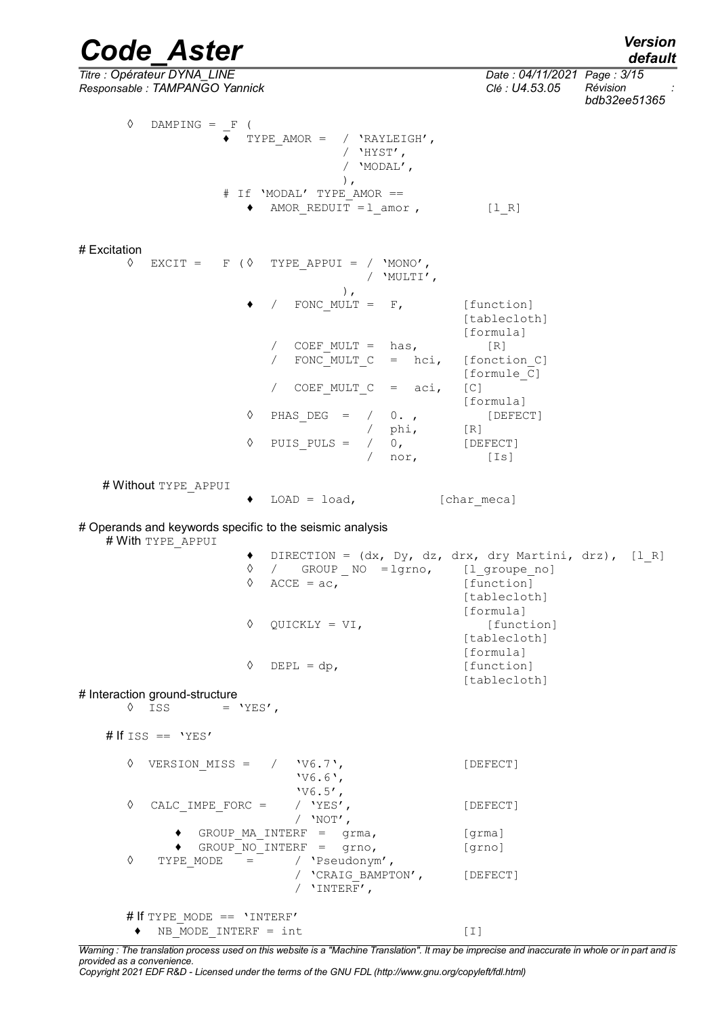#### *Code\_Aster Version default*

*Titre : Opérateur DYNA\_LINE Date : 04/11/2021 Page : 3/15*

*Responsable : TAMPANGO Yannick Clé : U4.53.05 Révision : bdb32ee51365*  $\Diamond$  DAMPING =  $\line{F}$  (  $\overline{\bullet}$  TYPE AMOR = / 'RAYLEIGH', / 'HYST', / 'MODAL', ), # If 'MODAL' TYPE\_AMOR ==  $\triangleleft$  AMOR REDUIT = 1 amor , [l R] # Excitation  $\Diamond$  EXCIT = F ( $\Diamond$  TYPE APPUI = / 'MONO', / 'MULTI', ), FONC MULT =  $F$ , [function] [tablecloth] [formula] /  $COEF_MULT = has$ ,  $[R]$ <br>/  $FONC_MIIT.T C = hci$   $fonct$ FONC MULT  $C = hci$ , [fonction C] [formule\_C] / COEF MULT  $C = aci, [C]$ [formula] ◊ PHAS\_DEG = / 0. , [DEFECT] / phi, [R]  $\Diamond$  PUIS PULS = / 0, [DEFECT] / nor, [Is] # Without TYPE\_APPUI ♦ LOAD = load, [char\_meca] # Operands and keywords specific to the seismic analysis # With TYPE APPUI ♦ DIRECTION = (dx, Dy, dz, drx, dry Martini, drz), [l\_R] ◊ / GROUP \_ NO = lgrno, [l\_groupe\_no]  $\sqrt{2} \text{ ACCE} = ac,$  [function] [tablecloth] [formula] ◊ QUICKLY = VI, [function] [tablecloth] [formula]  $\Diamond$  DEPL = dp, [function] [tablecloth] # Interaction ground-structure  $\sqrt{S}$  iss = 'YES', # If  $ISS == YES'$ ◊ VERSION\_MISS = / 'V6.7', [DEFECT] 'V6.6', 'V6.5', ◊ CALC\_IMPE\_FORC = / 'YES', [DEFECT] /  $'$  <br>NOT' , ♦ GROUP\_MA\_INTERF = grma, [grma]  $\triangleleft$  GROUP NO INTERF = grno, [grno] ◊ TYPE\_MODE = / 'Pseudonym', / 'CRAIG\_BAMPTON', [DEFECT]  $/$  'INTERF',

# If TYPE\_MODE == 'INTERF'  $\bullet$  NB MODE INTERF = int [I]

*Warning : The translation process used on this website is a "Machine Translation". It may be imprecise and inaccurate in whole or in part and is provided as a convenience.*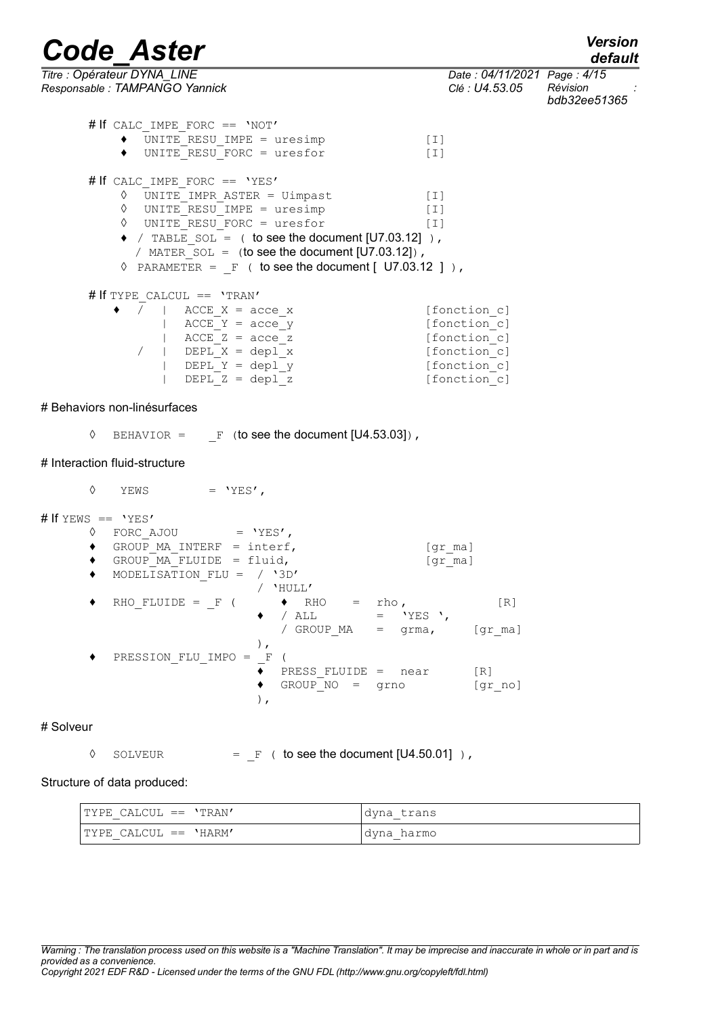*default*

| Titre : Opérateur DYNA LINE<br>Responsable : TAMPANGO Yannick                                                                                                                                                                                                                                                                                                          | Date: 04/11/2021 Page: 4/15<br>Clé : U4.53.05                                                | Révision<br>bdb32ee51365 |
|------------------------------------------------------------------------------------------------------------------------------------------------------------------------------------------------------------------------------------------------------------------------------------------------------------------------------------------------------------------------|----------------------------------------------------------------------------------------------|--------------------------|
| # If CALC IMPE FORC == 'NOT'<br>UNITE RESU IMPE = uresimp<br>$[1]$<br>٠<br>UNITE RESU FORC = uresfor<br>$[1]$<br>٠                                                                                                                                                                                                                                                     |                                                                                              |                          |
| # If CALC IMPE FORC == 'YES'<br>$\Diamond$ UNITE IMPR ASTER = Uimpast<br>$[1]$<br>$\Diamond$ UNITE RESU IMPE = uresimp<br>$[1]$<br>$\Diamond$ UNITE RESU FORC = uresfor<br>$[1]$<br>$\bullet$ / TABLE SOL = ( to see the document [U7.03.12]),<br>/ MATER SOL = $(to see the document [U7.03.12])$ ,<br>$\Diamond$ PARAMETER = F ( to see the document [ U7.03.12 ] ), |                                                                                              |                          |
| # If TYPE CALCUL == 'TRAN'<br>$\bullet$ /   ACCE X = acce_x<br>ACCE $Y = acce y$<br>$ $ ACCE $Z =$ acce $z$<br>  DEPL X = depl x<br>$\sqrt{2}$<br>$ $ DEPL Y = depl y<br>DEPL $Z = dep1 z$                                                                                                                                                                             | [fonction c]<br>[fonction c]<br>[fonction c]<br>[fonction c]<br>[fonction c]<br>[fonction c] |                          |
| # Behaviors non-linésurfaces                                                                                                                                                                                                                                                                                                                                           |                                                                                              |                          |
| BEHAVIOR = $F$ (to see the document [U4.53.03]),<br>♦                                                                                                                                                                                                                                                                                                                  |                                                                                              |                          |
| # Interaction fluid-structure                                                                                                                                                                                                                                                                                                                                          |                                                                                              |                          |
| ♦<br>YEWS = $'YES'$ ,                                                                                                                                                                                                                                                                                                                                                  |                                                                                              |                          |
| # If YEWS == $'YES'$<br>$\lozenge$ FORC AJOU = 'YES',<br>$\bullet$ GROUP MA INTERF = interf,<br>GROUP MA FLUIDE = fluid,<br>$\bullet$<br>MODELISATION FLU = $/ '3D'$<br>$\bullet$<br>/ 'HULL'                                                                                                                                                                          | [gr ma]<br>$[gr \text{ ma}]$                                                                 |                          |
| $RHO_FLUIDE = -F$ (<br>$\bullet$<br>RHO<br>rho,<br>/ $ALL$<br>$=$ 'YES ',<br>/ GROUP MA = grma, [gr ma]<br>$\,$ ,                                                                                                                                                                                                                                                      | [R]                                                                                          |                          |
| PRESSION FLU IMPO =<br>$\mathbf F$<br>PRESS FLUIDE = near<br>GROUP NO = grno<br>$\,$ ,                                                                                                                                                                                                                                                                                 | [R]<br>[gr_no]                                                                               |                          |
| # Solveur                                                                                                                                                                                                                                                                                                                                                              |                                                                                              |                          |
| $=$ F ( to see the document [U4.50.01] ),<br>♦<br>SOLVEUR                                                                                                                                                                                                                                                                                                              |                                                                                              |                          |

Structure of data produced:

| $l$ TYPE CALCUL == $'$ TRAN'      | dyna trans           |
|-----------------------------------|----------------------|
| $-$                               | $-$                  |
| $l$ TYPE CALCUL == $'$ HARM'<br>_ | harmo<br>dyna<br>$-$ |

*Warning : The translation process used on this website is a "Machine Translation". It may be imprecise and inaccurate in whole or in part and is provided as a convenience. Copyright 2021 EDF R&D - Licensed under the terms of the GNU FDL (http://www.gnu.org/copyleft/fdl.html)*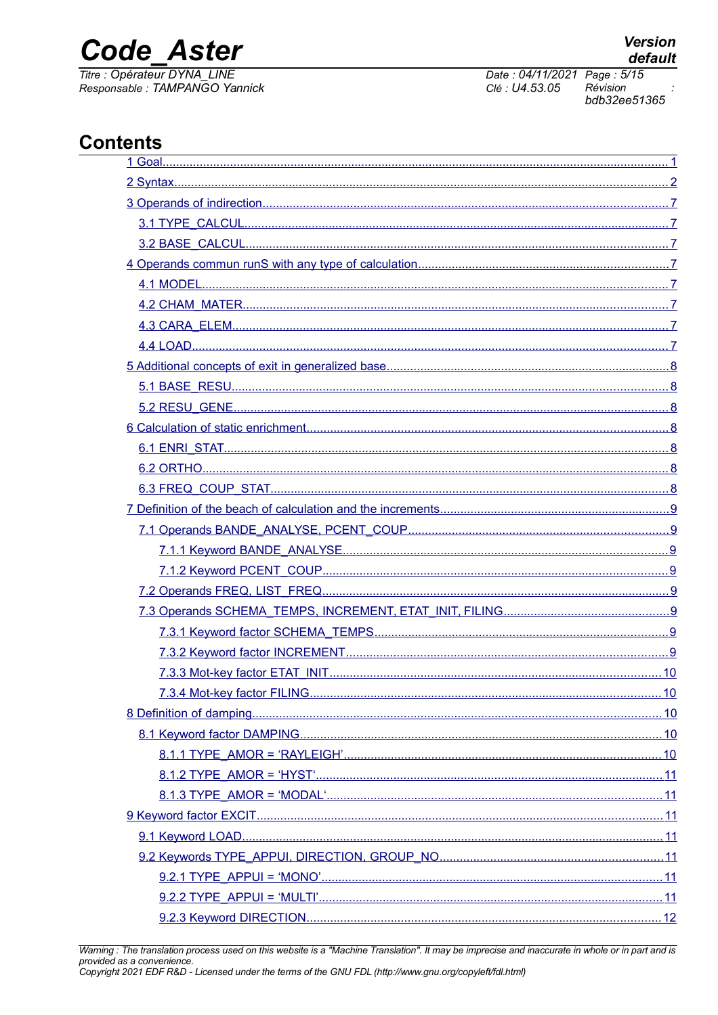## **Code Aster**

Titre : Opérateur DYNA\_LINE Responsable : TAMPANGO Yannick Date: 04/11/2021 Page: 5/15 Clé : U4.53.05 Révision bdb32ee51365

| 7.3.4 Mot-key factor FILING. | 10 |
|------------------------------|----|
|                              |    |
|                              |    |
|                              |    |
|                              |    |
|                              |    |
|                              |    |
|                              |    |
|                              |    |
|                              |    |
|                              |    |
|                              |    |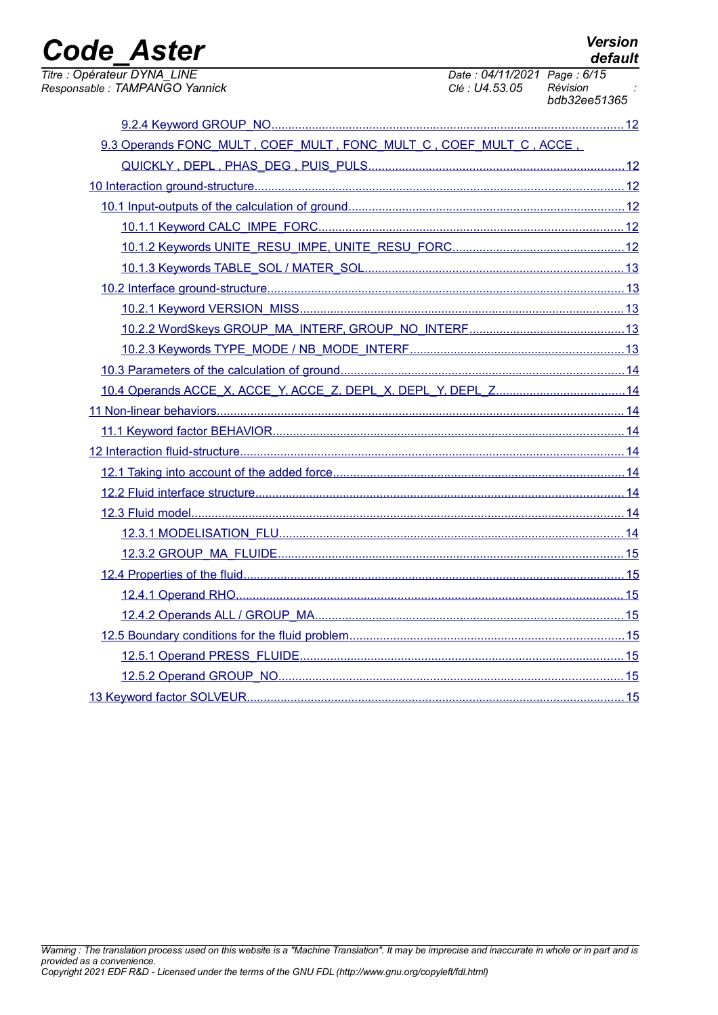| <b>Code Aster</b>                                                  |                                               | <b>Version</b><br>default |
|--------------------------------------------------------------------|-----------------------------------------------|---------------------------|
| Titre : Opérateur DYNA LINE<br>Responsable : TAMPANGO Yannick      | Date: 04/11/2021 Page: 6/15<br>Clé : U4.53.05 | Révision<br>bdb32ee51365  |
|                                                                    |                                               |                           |
| 9.3 Operands FONC MULT, COEF MULT, FONC MULT C, COEF MULT C, ACCE, |                                               |                           |
|                                                                    |                                               |                           |
|                                                                    |                                               |                           |
|                                                                    |                                               |                           |
|                                                                    |                                               |                           |
|                                                                    |                                               |                           |
|                                                                    |                                               |                           |
|                                                                    |                                               |                           |
|                                                                    |                                               |                           |
|                                                                    |                                               |                           |
|                                                                    |                                               |                           |
|                                                                    |                                               |                           |
| 10.4 Operands ACCE_X, ACCE_Y, ACCE_Z, DEPL_X, DEPL_Y, DEPL_Z14     |                                               |                           |
|                                                                    |                                               |                           |
|                                                                    |                                               |                           |
|                                                                    |                                               |                           |
|                                                                    |                                               |                           |
|                                                                    |                                               |                           |
|                                                                    |                                               |                           |
|                                                                    |                                               |                           |
|                                                                    |                                               |                           |
|                                                                    |                                               |                           |
|                                                                    |                                               |                           |
|                                                                    |                                               |                           |
|                                                                    |                                               |                           |
|                                                                    |                                               |                           |
|                                                                    |                                               |                           |
|                                                                    |                                               |                           |
|                                                                    |                                               |                           |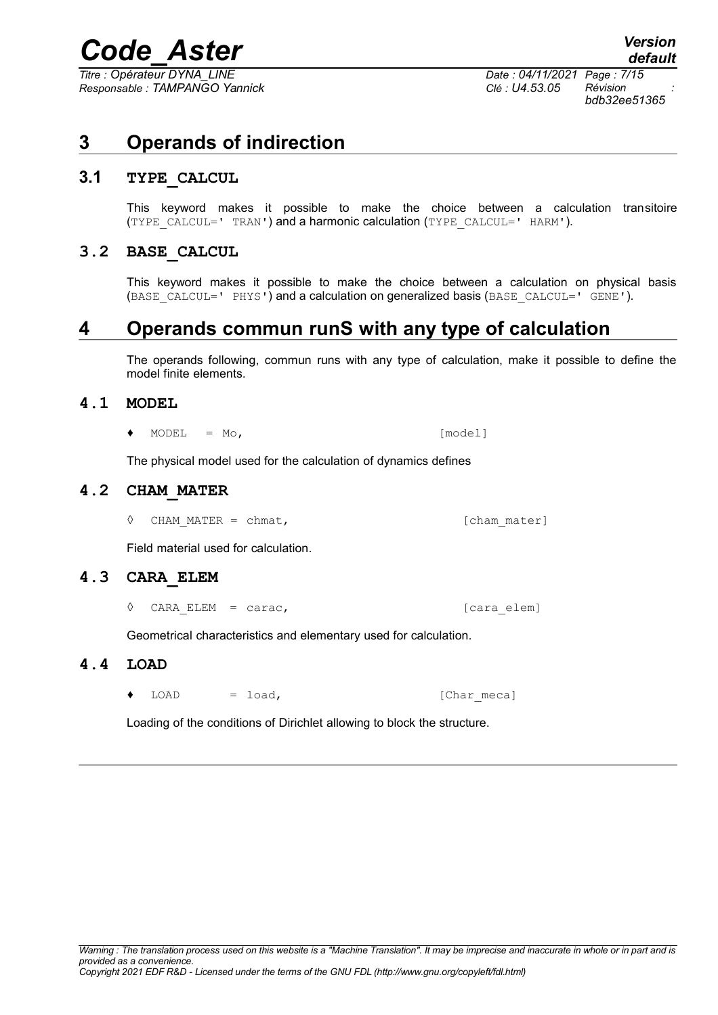*Titre : Opérateur DYNA\_LINE Date : 04/11/2021 Page : 7/15 Responsable : TAMPANGO Yannick Clé : U4.53.05 Révision :*

*bdb32ee51365*

## <span id="page-6-7"></span>**3 Operands of indirection**

## **3.1 TYPE\_CALCUL**

<span id="page-6-6"></span>This keyword makes it possible to make the choice between a calculation transitoire (TYPE CALCUL=' TRAN') and a harmonic calculation (TYPE CALCUL=' HARM').

## **3.2 BASE\_CALCUL**

<span id="page-6-5"></span>This keyword makes it possible to make the choice between a calculation on physical basis (BASE\_CALCUL=' PHYS') and a calculation on generalized basis (BASE\_CALCUL=' GENE').

## **4 Operands commun runS with any type of calculation**

<span id="page-6-4"></span>The operands following, commun runs with any type of calculation, make it possible to define the model finite elements.

#### **4.1 MODEL**

<span id="page-6-3"></span> $\bullet$  MODEL = Mo,  $[\text{model}]$ 

<span id="page-6-2"></span>The physical model used for the calculation of dynamics defines

### **4.2 CHAM\_MATER**

◊ CHAM\_MATER = chmat, [cham\_mater]

<span id="page-6-1"></span>Field material used for calculation.

#### **4.3 CARA\_ELEM**

◊ CARA\_ELEM = carac, [cara\_elem]

<span id="page-6-0"></span>Geometrical characteristics and elementary used for calculation.

#### **4.4 LOAD**

 $\bullet$  LOAD = load,  $[Char\,meca]$ 

Loading of the conditions of Dirichlet allowing to block the structure.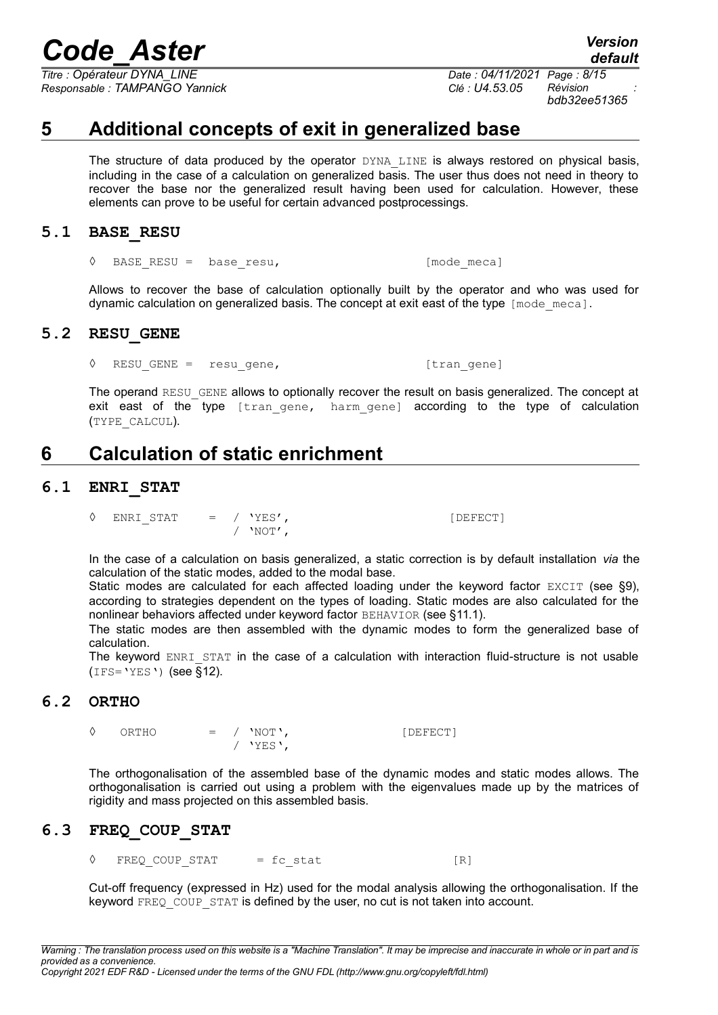*Titre : Opérateur DYNA\_LINE Date : 04/11/2021 Page : 8/15 Responsable : TAMPANGO Yannick Clé : U4.53.05 Révision :*

*default*

*bdb32ee51365*

## **5 Additional concepts of exit in generalized base**

<span id="page-7-6"></span>The structure of data produced by the operator DYNA LINE is always restored on physical basis, including in the case of a calculation on generalized basis. The user thus does not need in theory to recover the base nor the generalized result having been used for calculation. However, these elements can prove to be useful for certain advanced postprocessings.

### **5.1 BASE\_RESU**

<span id="page-7-5"></span>◊ BASE\_RESU = base\_resu, [mode\_meca]

Allows to recover the base of calculation optionally built by the operator and who was used for dynamic calculation on generalized basis. The concept at exit east of the type  $[mode\,\,me^{-}$ 

### **5.2 RESU\_GENE**

<span id="page-7-4"></span>◊ RESU\_GENE = resu\_gene, [tran\_gene]

The operand RESU GENE allows to optionally recover the result on basis generalized. The concept at exit east of the type [tran gene, harm gene] according to the type of calculation (TYPE\_CALCUL).

## <span id="page-7-3"></span>**6 Calculation of static enrichment**

### **6.1 ENRI\_STAT**

<span id="page-7-2"></span> $\Diamond$  ENRI STAT = / 'YES',  $[DEFECT]$ / 'NOT',

In the case of a calculation on basis generalized, a static correction is by default installation *via* the calculation of the static modes, added to the modal base.

Static modes are calculated for each affected loading under the keyword factor EXCIT (see [§9\)](#page-10-4), according to strategies dependent on the types of loading. Static modes are also calculated for the nonlinear behaviors affected under keyword factor BEHAVIOR (see [§11.1\)](#page-13-5).

The static modes are then assembled with the dynamic modes to form the generalized base of calculation.

The keyword ENRI STAT in the case of a calculation with interaction fluid-structure is not usable  $(IFS='YES')$  (see [§12\)](#page-13-4).

## **6.2 ORTHO**

<span id="page-7-1"></span>◊ ORTHO = / 'NOT', [DEFECT]

/ 'YES',

The orthogonalisation of the assembled base of the dynamic modes and static modes allows. The orthogonalisation is carried out using a problem with the eigenvalues made up by the matrices of rigidity and mass projected on this assembled basis.

## **6.3 FREQ\_COUP\_STAT**

<span id="page-7-0"></span> $\Diamond$  FREQ COUP STAT = fc stat  $[R]$ 

Cut-off frequency (expressed in Hz) used for the modal analysis allowing the orthogonalisation. If the keyword FREQ COUP STAT is defined by the user, no cut is not taken into account.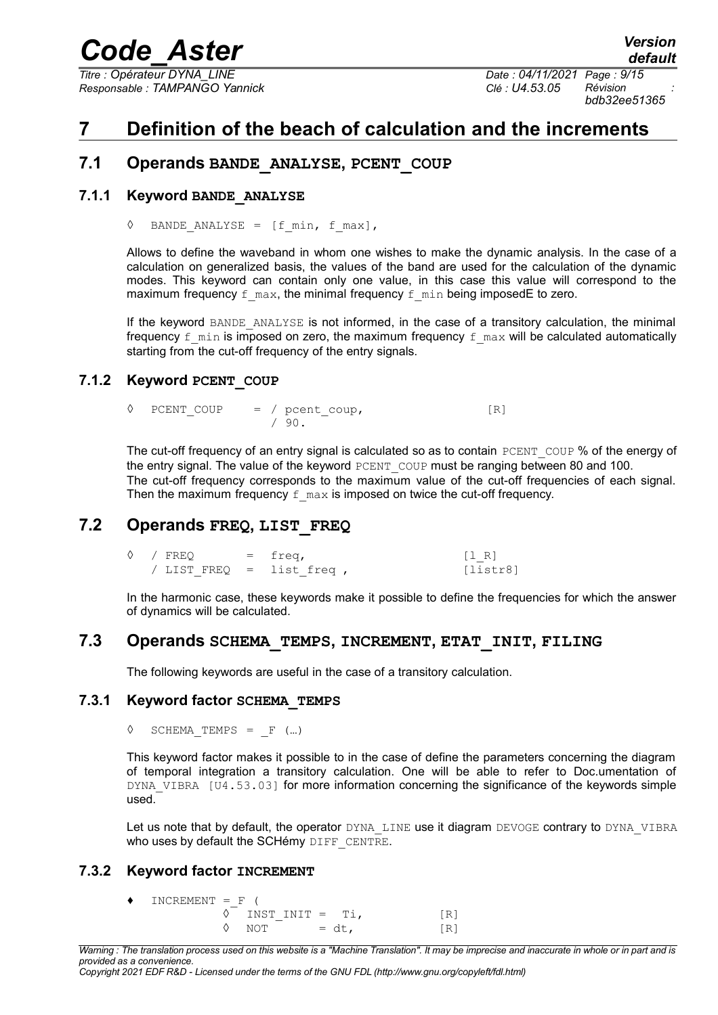*Titre : Opérateur DYNA\_LINE Date : 04/11/2021 Page : 9/15 Responsable : TAMPANGO Yannick Clé : U4.53.05 Révision :*

*bdb32ee51365*

## <span id="page-8-7"></span>**7 Definition of the beach of calculation and the increments**

## <span id="page-8-6"></span>**7.1 Operands BANDE\_ANALYSE, PCENT\_COUP**

### **7.1.1 Keyword BANDE\_ANALYSE**

<span id="page-8-5"></span> $\Diamond$  BANDE ANALYSE = [f min, f max],

Allows to define the waveband in whom one wishes to make the dynamic analysis. In the case of a calculation on generalized basis, the values of the band are used for the calculation of the dynamic modes. This keyword can contain only one value, in this case this value will correspond to the maximum frequency  $f_{max}$ , the minimal frequency  $f_{min}$  being imposedE to zero.

If the keyword BANDE ANALYSE is not informed, in the case of a transitory calculation, the minimal frequency  $f$  min is imposed on zero, the maximum frequency  $f$  max will be calculated automatically starting from the cut-off frequency of the entry signals.

#### **7.1.2 Keyword PCENT\_COUP**

<span id="page-8-4"></span> $\Diamond$  PCENT COUP = / pcent coup, [R] / 90.

The cut-off frequency of an entry signal is calculated so as to contain  $PCENT$  COUP % of the energy of the entry signal. The value of the keyword PCENT COUP must be ranging between 80 and 100. The cut-off frequency corresponds to the maximum value of the cut-off frequencies of each signal. Then the maximum frequency  $f$  max is imposed on twice the cut-off frequency.

## **7.2 Operands FREQ, LIST\_FREQ**

<span id="page-8-3"></span> $\Diamond$  / FREQ = freq,  $[1 R]$ / LIST FREQ = list freq ,  $[{\text{listr8}}]$ 

In the harmonic case, these keywords make it possible to define the frequencies for which the answer of dynamics will be calculated.

## **7.3 Operands SCHEMA\_TEMPS, INCREMENT, ETAT\_INIT, FILING**

<span id="page-8-2"></span><span id="page-8-1"></span>The following keywords are useful in the case of a transitory calculation.

#### **7.3.1 Keyword factor SCHEMA\_TEMPS**

 $\Diamond$  SCHEMA TEMPS =  $F$  (...)

This keyword factor makes it possible to in the case of define the parameters concerning the diagram of temporal integration a transitory calculation. One will be able to refer to Doc.umentation of DYNA\_VIBRA [U4.53.03] for more information concerning the significance of the keywords simple used.

Let us note that by default, the operator DYNA LINE use it diagram DEVOGE contrary to DYNA VIBRA who uses by default the SCHémy DIFF CENTRE.

#### **7.3.2 Keyword factor INCREMENT**

<span id="page-8-0"></span> $\blacklozenge$  INCREMENT = F (  $\begin{array}{lll} \Diamond & \text{INST\_INIT} = & \text{Ti}, & \text{[R]} \\ \Diamond & \text{NOT} & = \text{dt}, & \text{[R]} \end{array}$  $\sqrt{OPT} = dt,$  [R]

*Warning : The translation process used on this website is a "Machine Translation". It may be imprecise and inaccurate in whole or in part and is provided as a convenience.*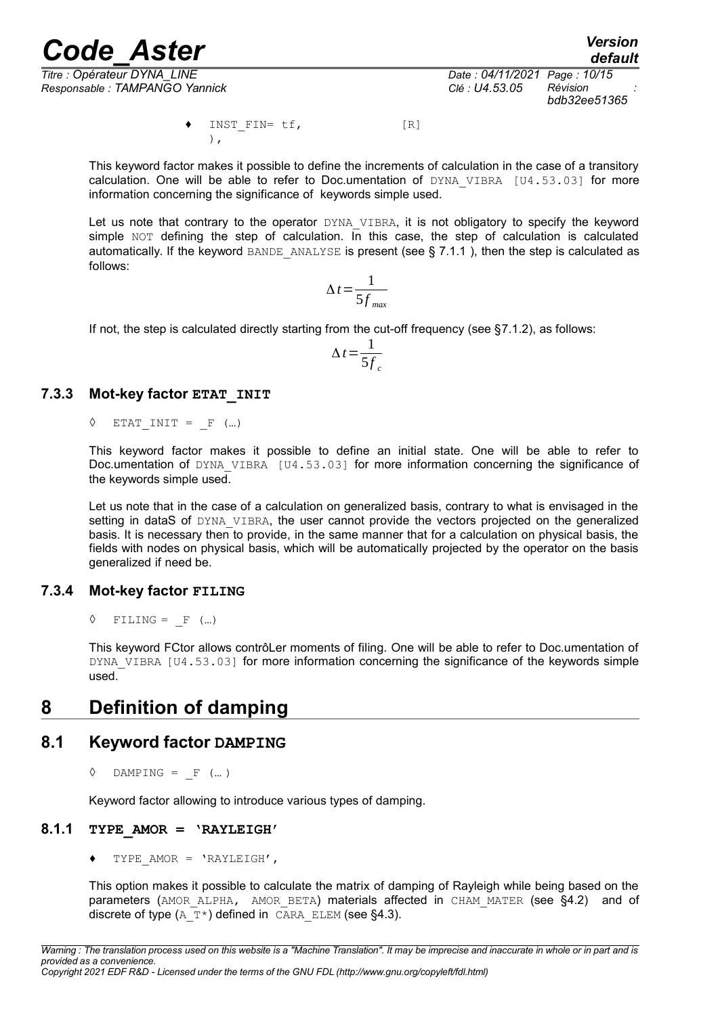*Titre : Opérateur DYNA\_LINE Date : 04/11/2021 Page : 10/15 Responsable : TAMPANGO Yannick Clé : U4.53.05 Révision :*

*default*

*bdb32ee51365*

INST FIN= tf, [R] ),

This keyword factor makes it possible to define the increments of calculation in the case of a transitory calculation. One will be able to refer to Doc.umentation of  $DYNA$  VIBRA [U4.53.03] for more information concerning the significance of keywords simple used.

Let us note that contrary to the operator DYNA VIBRA, it is not obligatory to specify the keyword simple NOT defining the step of calculation. In this case, the step of calculation is calculated automatically. If the keyword BANDE\_ANALYSE is present (see  $\S$  [7.1.1](#page-8-5) ), then the step is calculated as follows:

$$
\Delta t = \frac{1}{5f_{\text{max}}}
$$

If not, the step is calculated directly starting from the cut-off frequency (see [§7.1.2\)](#page-8-4), as follows:

$$
\Delta t = \frac{1}{5f_c}
$$

#### **7.3.3 Mot-key factor ETAT\_INIT**

<span id="page-9-4"></span> $\Diamond$  ETAT INIT = F (...)

This keyword factor makes it possible to define an initial state. One will be able to refer to Doc.umentation of DYNA VIBRA [U4.53.03] for more information concerning the significance of the keywords simple used.

Let us note that in the case of a calculation on generalized basis, contrary to what is envisaged in the setting in dataS of DYNA VIBRA, the user cannot provide the vectors projected on the generalized basis. It is necessary then to provide, in the same manner that for a calculation on physical basis, the fields with nodes on physical basis, which will be automatically projected by the operator on the basis generalized if need be.

#### **7.3.4 Mot-key factor FILING**

<span id="page-9-3"></span> $\Diamond$  FILING = F (...)

This keyword FCtor allows contrôLer moments of filing. One will be able to refer to Doc.umentation of DYNA VIBRA [U4.53.03] for more information concerning the significance of the keywords simple used.

## <span id="page-9-2"></span>**8 Definition of damping**

## **8.1 Keyword factor DAMPING**

<span id="page-9-1"></span> $\Diamond$  DAMPING =  $F$  (...)

<span id="page-9-0"></span>Keyword factor allowing to introduce various types of damping.

## **8.1.1 TYPE\_AMOR = 'RAYLEIGH'**

TYPE AMOR =  $'RAYLEIGH'$ ,

This option makes it possible to calculate the matrix of damping of Rayleigh while being based on the parameters (AMOR ALPHA, AMOR BETA) materials affected in CHAM MATER (see [§4.2\)](#page-6-2) and of discrete of type  $(A_T^*)$  defined in CARA ELEM (see [§4.3\)](#page-6-1).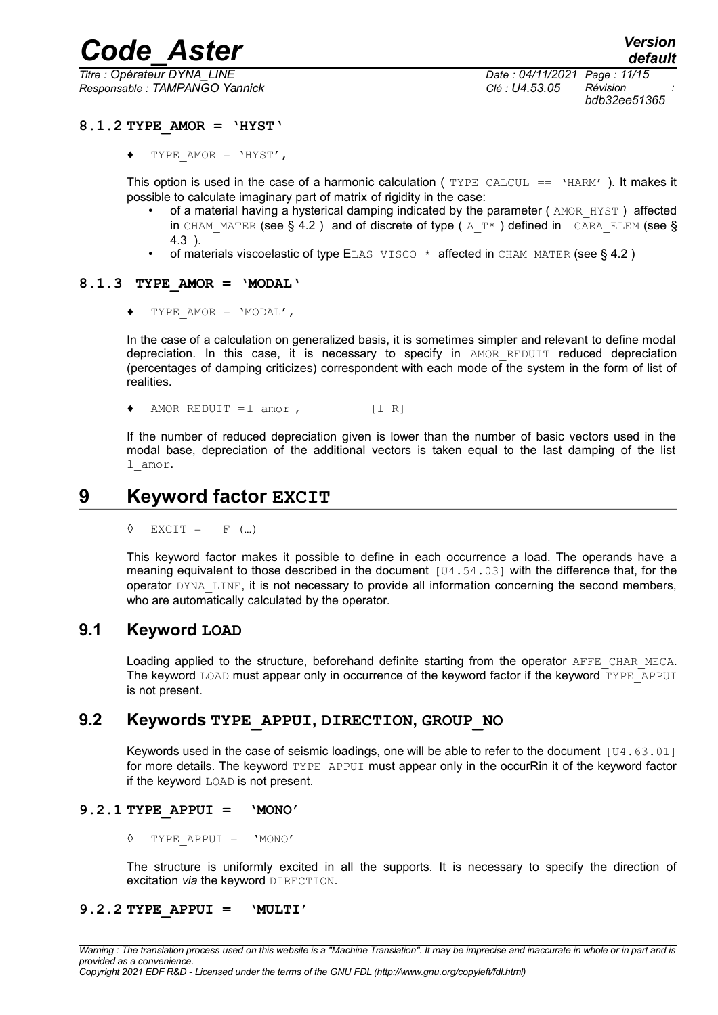*Responsable : TAMPANGO Yannick Clé : U4.53.05 Révision :*

*Titre : Opérateur DYNA\_LINE Date : 04/11/2021 Page : 11/15 bdb32ee51365*

#### **8.1.2 TYPE\_AMOR = 'HYST'**

<span id="page-10-6"></span>TYPE AMOR =  $'$ HYST',

This option is used in the case of a harmonic calculation ( $TYPE$  CALCUL == 'HARM'). It makes it possible to calculate imaginary part of matrix of rigidity in the case:

- of a material having a hysterical damping indicated by the parameter ( $AMOR$  HYST) affected in CHAM MATER (see § [4.2](#page-6-2) ) and of discrete of type ( $A$ <sup>T\*</sup>) defined in CARA ELEM (see § [4.3](#page-6-1) ).
- of materials viscoelastic of type ELAS\_VISCO\_\* affected in CHAM\_MATER (see § 4.2)

#### **8.1.3 TYPE\_AMOR = 'MODAL'**

<span id="page-10-5"></span>TYPE AMOR =  $'MODAL'$ ,

In the case of a calculation on generalized basis, it is sometimes simpler and relevant to define modal depreciation. In this case, it is necessary to specify in AMOR\_REDUIT reduced depreciation (percentages of damping criticizes) correspondent with each mode of the system in the form of list of realities.

AMOR REDUIT =  $l$  amor , [l R]

If the number of reduced depreciation given is lower than the number of basic vectors used in the modal base, depreciation of the additional vectors is taken equal to the last damping of the list l\_amor.

## **9 Keyword factor EXCIT**

<span id="page-10-4"></span> $\Diamond$  EXCIT = F (...)

This keyword factor makes it possible to define in each occurrence a load. The operands have a meaning equivalent to those described in the document  $[U4.54.03]$  with the difference that, for the operator DYNA\_LINE, it is not necessary to provide all information concerning the second members, who are automatically calculated by the operator.

## **9.1 Keyword LOAD**

<span id="page-10-3"></span>Loading applied to the structure, beforehand definite starting from the operator AFFE CHAR MECA. The keyword LOAD must appear only in occurrence of the keyword factor if the keyword TYPE\_APPUI is not present.

## **9.2 Keywords TYPE\_APPUI, DIRECTION, GROUP\_NO**

<span id="page-10-2"></span>Keywords used in the case of seismic loadings, one will be able to refer to the document [U4.63.01] for more details. The keyword TYPE\_APPUI must appear only in the occurRin it of the keyword factor if the keyword LOAD is not present.

#### **9.2.1 TYPE\_APPUI = 'MONO'**

<span id="page-10-1"></span>◊ TYPE\_APPUI = 'MONO'

<span id="page-10-0"></span>The structure is uniformly excited in all the supports. It is necessary to specify the direction of excitation *via* the keyword DIRECTION.

#### **9.2.2 TYPE\_APPUI = 'MULTI'**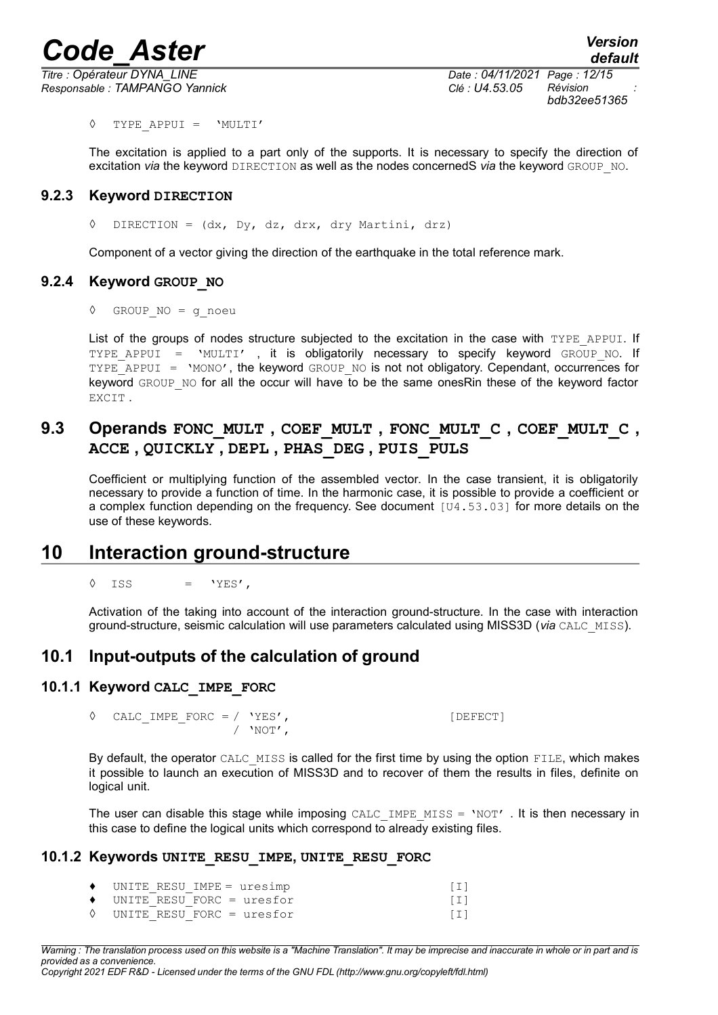*Responsable : TAMPANGO Yannick Clé : U4.53.05 Révision :*

*Titre : Opérateur DYNA\_LINE Date : 04/11/2021 Page : 12/15 bdb32ee51365*

◊ TYPE\_APPUI = 'MULTI'

The excitation is applied to a part only of the supports. It is necessary to specify the direction of excitation *via* the keyword DIRECTION as well as the nodes concernedS *via* the keyword GROUP\_NO.

#### **9.2.3 Keyword DIRECTION**

<span id="page-11-0"></span>◊ DIRECTION = (dx, Dy, dz, drx, dry Martini, drz)

<span id="page-11-6"></span>Component of a vector giving the direction of the earthquake in the total reference mark.

#### **9.2.4 Keyword GROUP\_NO**

◊ GROUP\_NO = g\_noeu

List of the groups of nodes structure subjected to the excitation in the case with TYPE APPUI. If TYPE APPUI = 'MULTI' , it is obligatorily necessary to specify keyword GROUP NO. If TYPE APPUI = 'MONO', the keyword GROUP NO is not not obligatory. Cependant, occurrences for keyword GROUP NO for all the occur will have to be the same onesRin these of the keyword factor EXCIT .

## <span id="page-11-5"></span>**9.3 Operands FONC\_MULT , COEF\_MULT , FONC\_MULT\_C , COEF\_MULT\_C , ACCE , QUICKLY , DEPL , PHAS\_DEG , PUIS\_PULS**

Coefficient or multiplying function of the assembled vector. In the case transient, it is obligatorily necessary to provide a function of time. In the harmonic case, it is possible to provide a coefficient or a complex function depending on the frequency. See document [U4.53.03] for more details on the use of these keywords.

## **10 Interaction ground-structure**

<span id="page-11-4"></span> $\Diamond$  ISS = 'YES',

<span id="page-11-3"></span>Activation of the taking into account of the interaction ground-structure. In the case with interaction ground-structure, seismic calculation will use parameters calculated using MISS3D (*via* CALC\_MISS).

## **10.1 Input-outputs of the calculation of ground**

#### **10.1.1 Keyword CALC\_IMPE\_FORC**

<span id="page-11-2"></span> $\Diamond$  CALC IMPE FORC = / 'YES', / 'NOT',

By default, the operator CALC MISS is called for the first time by using the option FILE, which makes it possible to launch an execution of MISS3D and to recover of them the results in files, definite on logical unit.

The user can disable this stage while imposing CALC\_IMPE\_MISS =  $'NOT'$ . It is then necessary in this case to define the logical units which correspond to already existing files.

#### **10.1.2 Keywords UNITE\_RESU\_IMPE, UNITE\_RESU\_FORC**

<span id="page-11-1"></span>

| $\bullet$ UNITE RESU IMPE = uresimp  |        |
|--------------------------------------|--------|
| $\bullet$ UNITE RESU FORC = uresfor  | $\Box$ |
| $\Diamond$ UNITE RESU FORC = uresfor |        |

*Warning : The translation process used on this website is a "Machine Translation". It may be imprecise and inaccurate in whole or in part and is provided as a convenience.*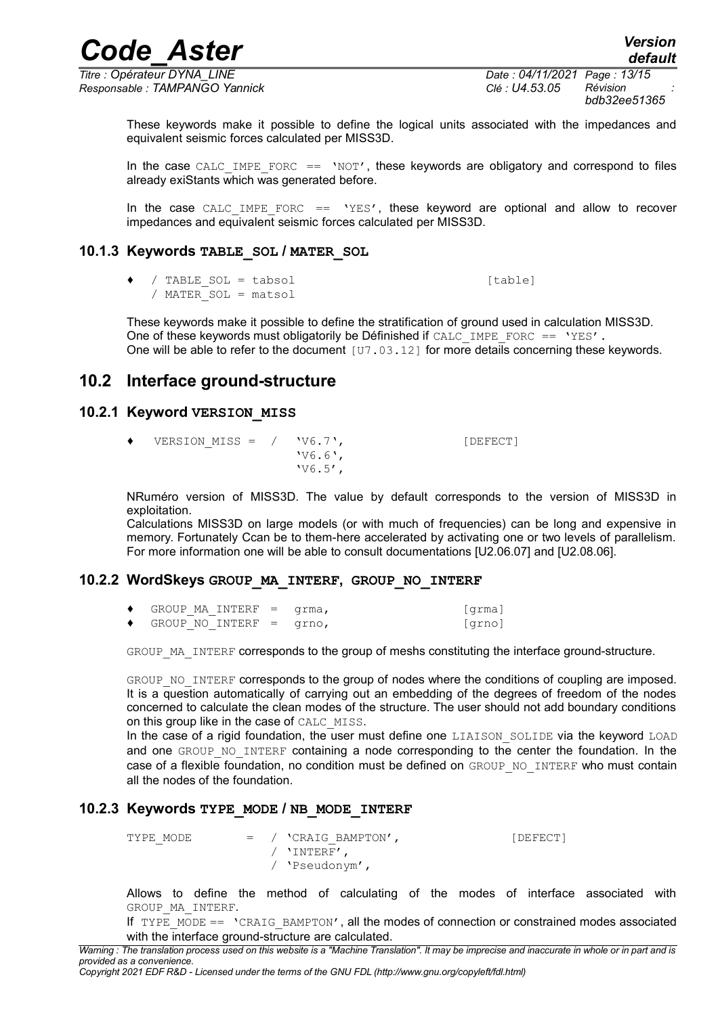*Titre : Opérateur DYNA\_LINE Date : 04/11/2021 Page : 13/15 Responsable : TAMPANGO Yannick Clé : U4.53.05 Révision :*

*bdb32ee51365*

*default*

These keywords make it possible to define the logical units associated with the impedances and equivalent seismic forces calculated per MISS3D.

In the case CALC\_IMPE\_FORC ==  $'NOT'$ , these keywords are obligatory and correspond to files already exiStants which was generated before.

In the case CALC IMPE FORC  $==$  'YES', these keyword are optional and allow to recover impedances and equivalent seismic forces calculated per MISS3D.

## **10.1.3 Keywords TABLE\_SOL / MATER\_SOL**

<span id="page-12-4"></span>♦ / TABLE\_SOL = tabsol [table] / MATER\_SOL = matsol

These keywords make it possible to define the stratification of ground used in calculation MISS3D. One of these keywords must obligatorily be Définished if  $CALC$  IMPE\_FORC == 'YES'. One will be able to refer to the document  $[ $\overline{U7}$ .03.12] for more details concerning these keywords.$ 

## <span id="page-12-3"></span>**10.2 Interface ground-structure**

### **10.2.1 Keyword VERSION\_MISS**

<span id="page-12-2"></span> $\blacklozenge$  VERSION MISS = / 'V6.7', [DEFECT] 'V6.6', 'V6.5',

NRuméro version of MISS3D. The value by default corresponds to the version of MISS3D in exploitation.

Calculations MISS3D on large models (or with much of frequencies) can be long and expensive in memory. Fortunately Ccan be to them-here accelerated by activating one or two levels of parallelism. For more information one will be able to consult documentations [U2.06.07] and [U2.08.06].

## **10.2.2 WordSkeys GROUP\_MA\_INTERF, GROUP\_NO\_INTERF**

<span id="page-12-1"></span>

|  | $GROUP$ MA INTERF = $qrm$ |  | [qrma] |
|--|---------------------------|--|--------|
|  | GROUP NO INTERF $=$ grno, |  | [qrno] |

GROUP MA INTERF corresponds to the group of meshs constituting the interface ground-structure.

GROUP NO INTERF corresponds to the group of nodes where the conditions of coupling are imposed. It is a question automatically of carrying out an embedding of the degrees of freedom of the nodes concerned to calculate the clean modes of the structure. The user should not add boundary conditions on this group like in the case of CALC\_MISS.

In the case of a rigid foundation, the user must define one LIAISON SOLIDE via the keyword LOAD and one GROUP NO INTERF containing a node corresponding to the center the foundation. In the case of a flexible foundation, no condition must be defined on GROUP NO\_INTERF who must contain all the nodes of the foundation.

## **10.2.3 Keywords TYPE\_MODE / NB\_MODE\_INTERF**

<span id="page-12-0"></span>TYPE MODE  $=$  / 'CRAIG\_BAMPTON',  $[DEFECT]$ / 'INTERF', / 'Pseudonym',

Allows to define the method of calculating of the modes of interface associated with GROUP\_MA\_INTERF.

If  $IYPE$  MODE ==  $'CRAIG$  BAMPTON', all the modes of connection or constrained modes associated with the interface ground-structure are calculated.

*Warning : The translation process used on this website is a "Machine Translation". It may be imprecise and inaccurate in whole or in part and is provided as a convenience.*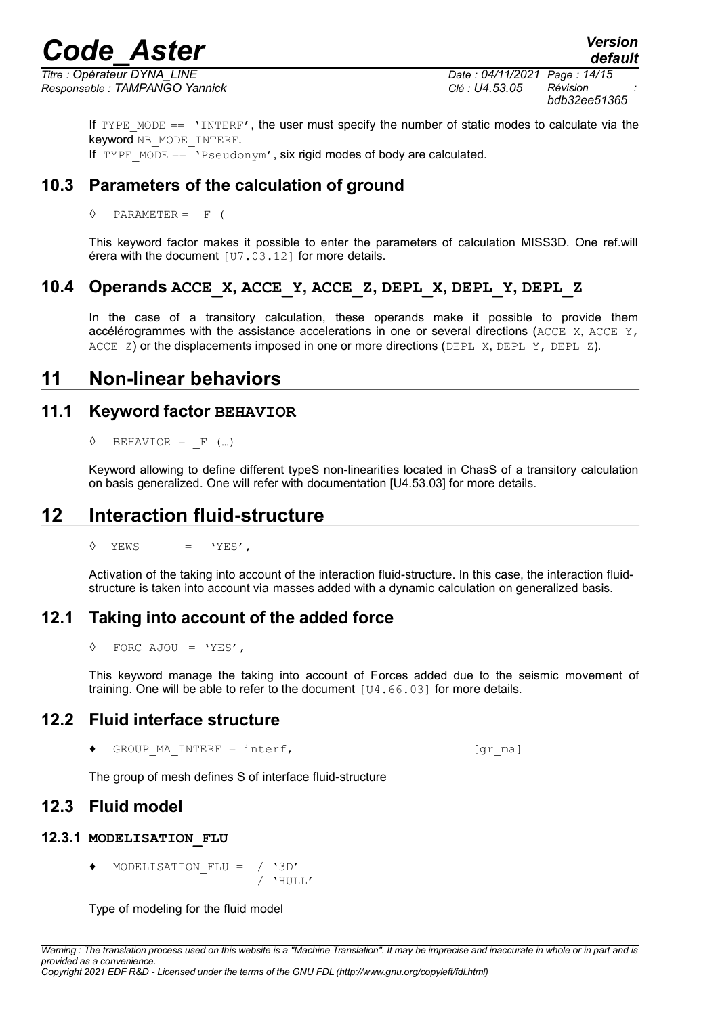*Titre : Opérateur DYNA\_LINE Date : 04/11/2021 Page : 14/15 Responsable : TAMPANGO Yannick Clé : U4.53.05 Révision :*

*bdb32ee51365*

*default*

If  $TYPE$  MODE  $==$  'INTERF', the user must specify the number of static modes to calculate via the keyword NB\_MODE\_INTERF. If TYPE MODE  $=$  'Pseudonym', six rigid modes of body are calculated.

**10.3 Parameters of the calculation of ground**

<span id="page-13-8"></span> $\Diamond$  PARAMETER = F (

This keyword factor makes it possible to enter the parameters of calculation MISS3D. One ref.will érera with the document [U7.03.12] for more details.

## **10.4 Operands ACCE\_X, ACCE\_Y, ACCE\_Z, DEPL\_X, DEPL\_Y, DEPL\_Z**

<span id="page-13-7"></span>In the case of a transitory calculation, these operands make it possible to provide them accélérogrammes with the assistance accelerations in one or several directions (ACCE X, ACCE Y, ACCE  $Z$ ) or the displacements imposed in one or more directions (DEPL  $X$ , DEPL  $Y$ , DEPL  $Z$ ).

## <span id="page-13-6"></span>**11 Non-linear behaviors**

## **11.1 Keyword factor BEHAVIOR**

<span id="page-13-5"></span> $\Diamond$  BEHAVIOR = F (...)

Keyword allowing to define different typeS non-linearities located in ChasS of a transitory calculation on basis generalized. One will refer with documentation [U4.53.03] for more details.

## **12 Interaction fluid-structure**

<span id="page-13-4"></span> $\Diamond$  YEWS = 'YES',

Activation of the taking into account of the interaction fluid-structure. In this case, the interaction fluidstructure is taken into account via masses added with a dynamic calculation on generalized basis.

## **12.1 Taking into account of the added force**

<span id="page-13-3"></span>◊ FORC\_AJOU = 'YES',

This keyword manage the taking into account of Forces added due to the seismic movement of training. One will be able to refer to the document [U4.66.03] for more details.

## **12.2 Fluid interface structure**

<span id="page-13-2"></span> $\bullet$  GROUP MA INTERF = interf,  $[gr\text{ maj}]$ 

<span id="page-13-1"></span>The group of mesh defines S of interface fluid-structure

## **12.3 Fluid model**

#### **12.3.1 MODELISATION\_FLU**

<span id="page-13-0"></span>MODELISATION FLU = / '3D'  $/$  'HULL'

Type of modeling for the fluid model